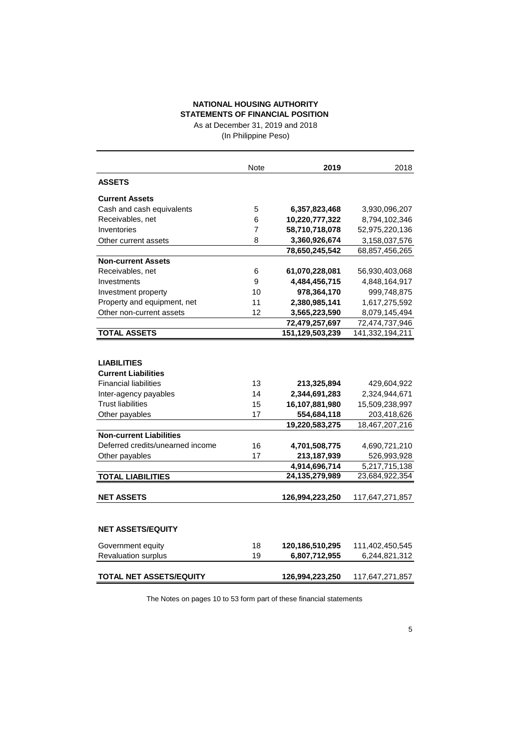# **NATIONAL HOUSING AUTHORITY STATEMENTS OF FINANCIAL POSITION**

As at December 31, 2019 and 2018 (In Philippine Peso)

|                              | <b>Note</b> | 2019            | 2018            |
|------------------------------|-------------|-----------------|-----------------|
| <b>ASSETS</b>                |             |                 |                 |
| <b>Current Assets</b>        |             |                 |                 |
| Cash and cash equivalents    | 5           | 6,357,823,468   | 3,930,096,207   |
| Receivables, net             | 6           | 10,220,777,322  | 8,794,102,346   |
| Inventories                  | 7           | 58,710,718,078  | 52,975,220,136  |
| Other current assets         | 8           | 3,360,926,674   | 3,158,037,576   |
|                              |             | 78,650,245,542  | 68,857,456,265  |
| <b>Non-current Assets</b>    |             |                 |                 |
| Receivables, net             | 6           | 61,070,228,081  | 56,930,403,068  |
| Investments                  | 9           | 4,484,456,715   | 4,848,164,917   |
| Investment property          | 10          | 978,364,170     | 999.748.875     |
| Property and equipment, net  | 11          | 2,380,985,141   | 1,617,275,592   |
| Other non-current assets     | 12          | 3,565,223,590   | 8,079,145,494   |
|                              |             | 72,479,257,697  | 72,474,737,946  |
| <b>TOTAL ASSETS</b>          |             | 151,129,503,239 | 141,332,194,211 |
|                              |             |                 |                 |
| <b>LIABILITIES</b>           |             |                 |                 |
| <b>Current Liabilities</b>   |             |                 |                 |
| <b>Financial liabilities</b> | 13          | 213,325,894     | 429,604,922     |
| Inter-agency payables        | 14          | 2,344,691,283   | 2,324,944,671   |
| <b>Trust liabilities</b>     | 15          | 16,107,881,980  | 15,509,238,997  |
| Other payables               | 17          | 554,684,118     | 203,418,626     |
|                              |             | 19,220,583,275  | 18,467,207,216  |

The Notes on pages 10 to 53 form part of these financial statements

Deferred credits/unearned income 16 **4,701,508,775** 4,690,721,210 Other payables 17 **213,187,939** 526,993,928

**TOTAL LIABILITIES 24,135,279,989** 23,684,922,354

**NET ASSETS 126,994,223,250** 117,647,271,857

Government equity 18 120,186,510,295 111,402,450,545 Revaluation surplus 19 **6,807,712,955** 6,244,821,312

**TOTAL NET ASSETS/EQUITY 126,994,223,250** 117,647,271,857

**NET ASSETS/EQUITY**

**4,914,696,714** 5,217,715,138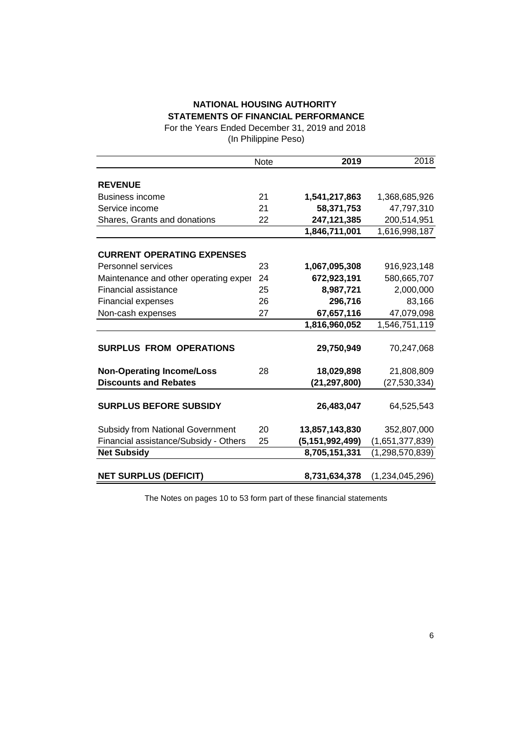# **NATIONAL HOUSING AUTHORITY STATEMENTS OF FINANCIAL PERFORMANCE**

For the Years Ended December 31, 2019 and 2018 (In Philippine Peso)

|                                         | <b>Note</b> | 2019               | 2018            |
|-----------------------------------------|-------------|--------------------|-----------------|
|                                         |             |                    |                 |
| <b>REVENUE</b>                          |             |                    |                 |
| <b>Business income</b>                  | 21          | 1,541,217,863      | 1,368,685,926   |
| Service income                          | 21          | 58,371,753         | 47,797,310      |
| Shares, Grants and donations            | 22          | 247,121,385        | 200,514,951     |
|                                         |             | 1,846,711,001      | 1,616,998,187   |
|                                         |             |                    |                 |
| <b>CURRENT OPERATING EXPENSES</b>       |             |                    |                 |
| Personnel services                      | 23          | 1,067,095,308      | 916,923,148     |
| Maintenance and other operating exper   | 24          | 672,923,191        | 580,665,707     |
| <b>Financial assistance</b>             | 25          | 8,987,721          | 2,000,000       |
| <b>Financial expenses</b>               | 26          | 296,716            | 83,166          |
| Non-cash expenses                       | 27          | 67,657,116         | 47,079,098      |
|                                         |             | 1,816,960,052      | 1,546,751,119   |
|                                         |             |                    |                 |
| <b>SURPLUS FROM OPERATIONS</b>          |             | 29,750,949         | 70,247,068      |
|                                         |             |                    |                 |
| <b>Non-Operating Income/Loss</b>        | 28          | 18,029,898         | 21,808,809      |
| <b>Discounts and Rebates</b>            |             | (21, 297, 800)     | (27, 530, 334)  |
|                                         |             |                    |                 |
| <b>SURPLUS BEFORE SUBSIDY</b>           |             | 26,483,047         | 64,525,543      |
|                                         |             |                    |                 |
| <b>Subsidy from National Government</b> | 20          | 13,857,143,830     | 352,807,000     |
| Financial assistance/Subsidy - Others   | 25          | (5, 151, 992, 499) | (1,651,377,839) |
| <b>Net Subsidy</b>                      |             | 8,705,151,331      | (1,298,570,839) |
| <b>NET SURPLUS (DEFICIT)</b>            |             | 8,731,634,378      | (1,234,045,296) |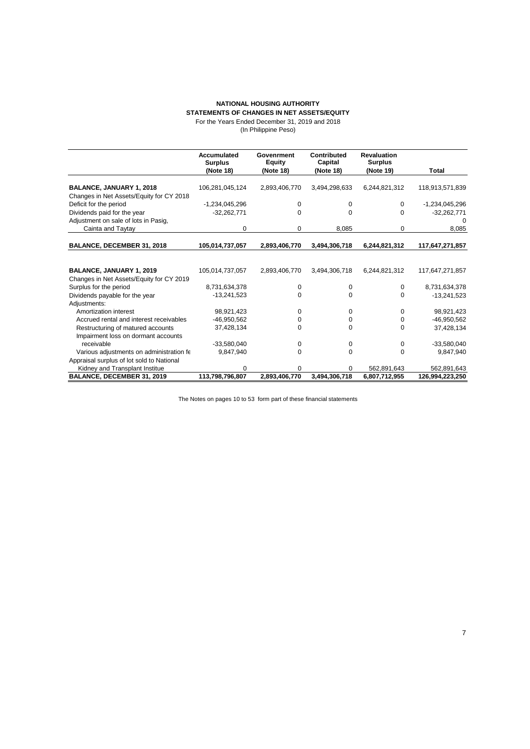#### **NATIONAL HOUSING AUTHORITY STATEMENTS OF CHANGES IN NET ASSETS/EQUITY**

### For the Years Ended December 31, 2019 and 2018

(In Philippine Peso)

|                                           | Accumulated<br><b>Surplus</b> | Govenrment<br><b>Equity</b> | Contributed<br>Capital | <b>Revaluation</b><br><b>Surplus</b> |                  |
|-------------------------------------------|-------------------------------|-----------------------------|------------------------|--------------------------------------|------------------|
|                                           | (Note 18)                     | (Note 18)                   | (Note 18)              | (Note 19)                            | Total            |
|                                           |                               |                             |                        |                                      |                  |
| BALANCE, JANUARY 1, 2018                  | 106,281,045,124               | 2,893,406,770               | 3,494,298,633          | 6,244,821,312                        | 118,913,571,839  |
| Changes in Net Assets/Equity for CY 2018  |                               |                             |                        |                                      |                  |
| Deficit for the period                    | -1,234,045,296                | $\Omega$                    | $\Omega$               | 0                                    | $-1,234,045,296$ |
| Dividends paid for the year               | $-32,262,771$                 | $\Omega$                    | $\Omega$               | $\Omega$                             | $-32,262,771$    |
| Adjustment on sale of lots in Pasig,      |                               |                             |                        |                                      | n                |
| Cainta and Taytay                         | 0                             | 0                           | 8,085                  | 0                                    | 8,085            |
| BALANCE, DECEMBER 31, 2018                | 105,014,737,057               | 2,893,406,770               | 3,494,306,718          | 6,244,821,312                        | 117,647,271,857  |
|                                           |                               |                             |                        |                                      |                  |
| <b>BALANCE, JANUARY 1, 2019</b>           | 105,014,737,057               | 2,893,406,770               | 3,494,306,718          | 6,244,821,312                        | 117,647,271,857  |
| Changes in Net Assets/Equity for CY 2019  |                               |                             |                        |                                      |                  |
| Surplus for the period                    | 8,731,634,378                 | $\Omega$                    | 0                      | $\Omega$                             | 8,731,634,378    |
| Dividends payable for the year            | $-13,241,523$                 | $\Omega$                    | 0                      | 0                                    | $-13,241,523$    |
| Adjustments:                              |                               |                             |                        |                                      |                  |
| Amortization interest                     | 98,921,423                    | $\Omega$                    | $\Omega$               | 0                                    | 98,921,423       |
| Accrued rental and interest receivables   | $-46,950,562$                 | 0                           | 0                      | 0                                    | -46,950,562      |
| Restructuring of matured accounts         | 37,428,134                    | 0                           | 0                      | $\Omega$                             | 37,428,134       |
| Impairment loss on dormant accounts       |                               |                             |                        |                                      |                  |
| receivable                                | $-33,580,040$                 | 0                           | 0                      | 0                                    | $-33,580,040$    |
| Various adjustments on administration fe  | 9,847,940                     | $\Omega$                    | 0                      | $\Omega$                             | 9,847,940        |
| Appraisal surplus of lot sold to National |                               |                             |                        |                                      |                  |
| Kidney and Transplant Institue            |                               | O                           | <sup>0</sup>           | 562,891,643                          | 562,891,643      |
| BALANCE, DECEMBER 31, 2019                | 113,798,796,807               | 2.893.406.770               | 3.494.306.718          | 6,807,712,955                        | 126,994,223,250  |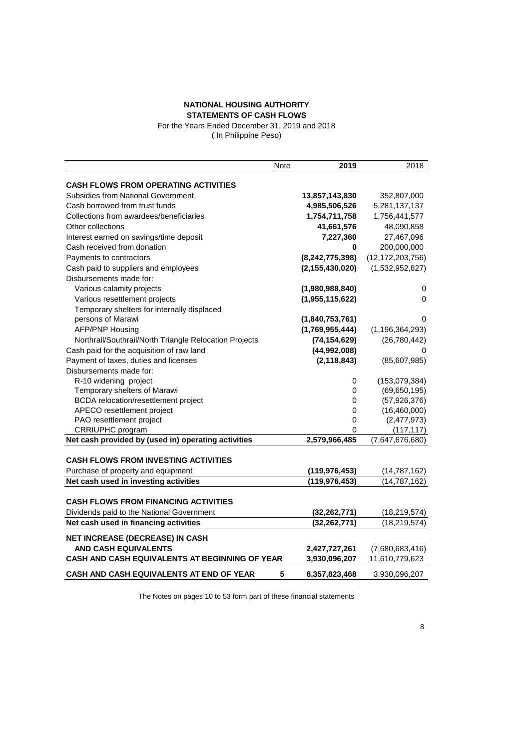#### **NATIONAL HOUSING AUTHORITY STATEMENTS OF CASH FLOWS**

For the Years Ended December 31, 2019 and 2018 ( In Philippine Peso)

|                                                        | Note | 2019               | 2018                |
|--------------------------------------------------------|------|--------------------|---------------------|
| <b>CASH FLOWS FROM OPERATING ACTIVITIES</b>            |      |                    |                     |
| <b>Subsidies from National Government</b>              |      | 13,857,143,830     | 352,807,000         |
| Cash borrowed from trust funds                         |      | 4,985,506,526      | 5,281,137,137       |
| Collections from awardees/beneficiaries                |      | 1,754,711,758      | 1,756,441,577       |
| Other collections                                      |      | 41,661,576         | 48,090,858          |
| Interest earned on savings/time deposit                |      | 7,227,360          | 27,467,096          |
| Cash received from donation                            |      | 0                  | 200,000,000         |
| Payments to contractors                                |      | (8, 242, 775, 398) | (12, 172, 203, 756) |
| Cash paid to suppliers and employees                   |      | (2, 155, 430, 020) | (1,532,952,827)     |
| Disbursements made for:                                |      |                    |                     |
| Various calamity projects                              |      | (1,980,988,840)    | 0                   |
| Various resettlement projects                          |      | (1,955,115,622)    | 0                   |
| Temporary shelters for internally displaced            |      |                    |                     |
| persons of Marawi                                      |      | (1,840,753,761)    | 0                   |
| <b>AFP/PNP Housing</b>                                 |      | (1,769,955,444)    | (1, 196, 364, 293)  |
| Northrail/Southrail/North Triangle Relocation Projects |      | (74, 154, 629)     | (26, 780, 442)      |
| Cash paid for the acquisition of raw land              |      | (44,992,008)       | 0                   |
| Payment of taxes, duties and licenses                  |      | (2, 118, 843)      | (85,607,985)        |
| Disbursements made for:                                |      |                    |                     |
| R-10 widening project                                  |      | 0                  | (153,079,384)       |
| Temporary shelters of Marawi                           |      | 0                  | (69, 650, 195)      |
| BCDA relocation/resettlement project                   |      | $\pmb{0}$          | (57, 926, 376)      |
| APECO resettlement project                             |      | 0                  | (16,460,000)        |
| PAO resettlement project                               |      | 0                  | (2,477,973)         |
| CRRIUPHC program                                       |      | 0                  | (117, 117)          |
| Net cash provided by (used in) operating activities    |      | 2,579,966,485      | (7,647,676,680)     |
|                                                        |      |                    |                     |
| <b>CASH FLOWS FROM INVESTING ACTIVITIES</b>            |      |                    |                     |
| Purchase of property and equipment                     |      | (119, 976, 453)    | (14, 787, 162)      |
| Net cash used in investing activities                  |      | (119, 976, 453)    | (14, 787, 162)      |
|                                                        |      |                    |                     |
| <b>CASH FLOWS FROM FINANCING ACTIVITIES</b>            |      |                    |                     |
| Dividends paid to the National Government              |      | (32, 262, 771)     | (18, 219, 574)      |
| Net cash used in financing activities                  |      | (32, 262, 771)     | (18, 219, 574)      |
| NET INCREASE (DECREASE) IN CASH                        |      |                    |                     |
| <b>AND CASH EQUIVALENTS</b>                            |      | 2,427,727,261      | (7,680,683,416)     |
| CASH AND CASH EQUIVALENTS AT BEGINNING OF YEAR         |      | 3,930,096,207      | 11,610,779,623      |
| CASH AND CASH EQUIVALENTS AT END OF YEAR               | 5    | 6,357,823,468      | 3,930,096,207       |